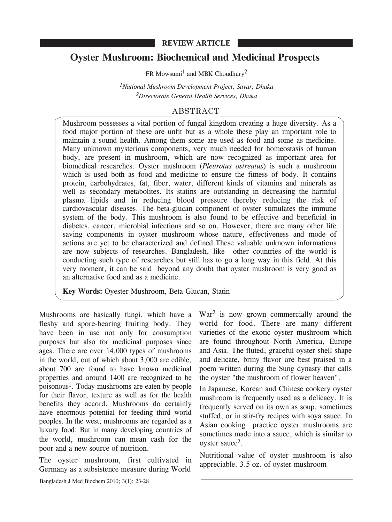## **REVIEW ARTICLE**

# **Oyster Mushroom: Biochemical and Medicinal Prospects**

FR Mowsumi<sup>1</sup> and MBK Choudhury<sup>2</sup>

*1National Mushroom Development Project, Savar, Dhaka 2Directorate General Health Services, Dhaka*

# ABSTRACT

Mushroom possesses a vital portion of fungal kingdom creating a huge diversity. As a food major portion of these are unfit but as a whole these play an important role to maintain a sound health. Among them some are used as food and some as medicine. Many unknown mysterious components, very much needed for homeostasis of human body, are present in mushroom, which are now recognized as important area for biomedical researches. Oyster mushroom (*Pleurotus ostreatus*) is such a mushroom which is used both as food and medicine to ensure the fitness of body. It contains protein, carbohydrates, fat, fiber, water, different kinds of vitamins and minerals as well as secondary metabolites. Its statins are outstanding in decreasing the harmful plasma lipids and in reducing blood pressure thereby reducing the risk of cardiovascular diseases. The beta-glucan component of oyster stimulates the immune system of the body. This mushroom is also found to be effective and beneficial in diabetes, cancer, microbial infections and so on. However, there are many other life saving components in oyster mushroom whose nature, effectiveness and mode of actions are yet to be characterized and defined.These valuable unknown informations are now subjects of researches. Bangladesh, like other countries of the world is conducting such type of researches but still has to go a long way in this field. At this very moment, it can be said beyond any doubt that oyster mushroom is very good as an alternative food and as a medicine.

**Key Words:** Oyester Mushroom, Beta-Glucan, Statin

Mushrooms are basically fungi, which have a fleshy and spore-bearing fruiting body. They have been in use not only for consumption purposes but also for medicinal purposes since ages. There are over 14,000 types of mushrooms in the world, out of which about 3,000 are edible, about 700 are found to have known medicinal properties and around 1400 are recognized to be poisonous1. Today mushrooms are eaten by people for their flavor, texture as well as for the health benefits they accord. Mushrooms do certainly have enormous potential for feeding third world peoples. In the west, mushrooms are regarded as a luxury food. But in many developing countries of the world, mushroom can mean cash for the poor and a new source of nutrition.

The oyster mushroom, first cultivated in Germany as a subsistence measure during World

War<sup>2</sup> is now grown commercially around the world for food. There are many different varieties of the exotic oyster mushroom which are found throughout North America, Europe and Asia. The fluted, graceful oyster shell shape and delicate, briny flavor are best praised in a poem written during the Sung dynasty that calls the oyster "the mushroom of flower heaven".

In Japanese, Korean and Chinese cookery oyster mushroom is frequently used as a delicacy. It is frequently served on its own as soup, sometimes stuffed, or in stir-fry recipes with soya sauce. In Asian cooking practice oyster mushrooms are sometimes made into a sauce, which is similar to oyster sauce<sup>2</sup>.

Nutritional value of oyster mushroom is also appreciable. 3.5 oz. of oyster mushroom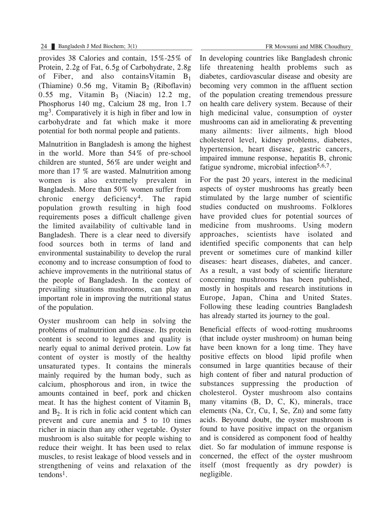provides 38 Calories and contain, 15%-25% of Protein, 2.2g of Fat, 6.5g of Carbohydrate, 2.8g of Fiber, and also contains Vitamin  $B_1$ (Thiamine)  $0.56$  mg, Vitamin  $B_2$  (Riboflavin)  $0.55$  mg, Vitamin B<sub>3</sub> (Niacin) 12.2 mg, Phosphorus 140 mg, Calcium 28 mg, Iron 1.7 mg3. Comparatively it is high in fiber and low in carbohydrate and fat which make it more potential for both normal people and patients.

Malnutrition in Bangladesh is among the highest in the world. More than 54% of pre-school children are stunted, 56% are under weight and more than 17 % are wasted. Malnutrition among women is also extremely prevalent in Bangladesh. More than 50% women suffer from chronic energy deficiency4. The rapid population growth resulting in high food requirements poses a difficult challenge given the limited availability of cultivable land in Bangladesh. There is a clear need to diversify food sources both in terms of land and environmental sustainability to develop the rural economy and to increase consumption of food to achieve improvements in the nutritional status of the people of Bangladesh. In the context of prevailing situations mushrooms, can play an important role in improving the nutritional status of the population.

Oyster mushroom can help in solving the problems of malnutrition and disease. Its protein content is second to legumes and quality is nearly equal to animal derived protein. Low fat content of oyster is mostly of the healthy unsaturated types. It contains the minerals mainly required by the human body, such as calcium, phosphorous and iron, in twice the amounts contained in beef, pork and chicken meat. It has the highest content of Vitamin  $B_1$ and  $B<sub>2</sub>$ . It is rich in folic acid content which can prevent and cure anemia and 5 to 10 times richer in niacin than any other vegetable. Oyster mushroom is also suitable for people wishing to reduce their weight. It has been used to relax muscles, to resist leakage of blood vessels and in strengthening of veins and relaxation of the  $t$ endons<sup>1</sup>.

In developing countries like Bangladesh chronic life threatening health problems such as diabetes, cardiovascular disease and obesity are becoming very common in the affluent section of the population creating tremendous pressure

on health care delivery system. Because of their high medicinal value, consumption of oyster mushrooms can aid in ameliorating & preventing many ailments: liver ailments, high blood cholesterol level, kidney problems, diabetes, hypertension, heart disease, gastric cancers, impaired immune response, hepatitis B, chronic fatigue syndrome, microbial infection<sup>5,6,7</sup>.

For the past 20 years, interest in the medicinal aspects of oyster mushrooms has greatly been stimulated by the large number of scientific studies conducted on mushrooms. Folklores have provided clues for potential sources of medicine from mushrooms. Using modern approaches, scientists have isolated and identified specific components that can help prevent or sometimes cure of mankind killer diseases: heart diseases, diabetes, and cancer. As a result, a vast body of scientific literature concerning mushrooms has been published, mostly in hospitals and research institutions in Europe, Japan, China and United States. Following these leading countries Bangladesh has already started its journey to the goal.

Beneficial effects of wood-rotting mushrooms (that include oyster mushroom) on human being have been known for a long time. They have positive effects on blood lipid profile when consumed in large quantities because of their high content of fiber and natural production of substances suppressing the production of cholesterol. Oyster mushroom also contains many vitamins (B, D, C, K), minerals, trace elements (Na, Cr, Cu, I, Se, Zn) and some fatty acids. Beyound doubt, the oyster mushroom is found to have positive impact on the organism and is considered as component food of healthy diet. So far modulation of immune response is concerned, the effect of the oyster mushroom itself (most frequently as dry powder) is negligible.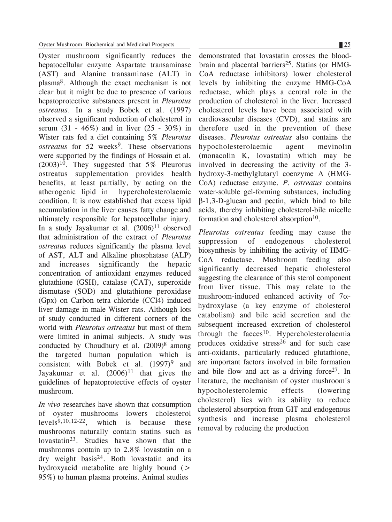Oyster mushroom significantly reduces the hepatocellular enzyme Aspartate transaminase (AST) and Alanine transaminase (ALT) in plasma8. Although the exact mechanism is not clear but it might be due to presence of various hepatoprotective substances present in *Pleurotus ostreatus*. In a study Bobek et al. (1997) observed a significant reduction of cholesterol in serum  $(31 - 46\%)$  and in liver  $(25 - 30\%)$  in Wister rats fed a diet containing 5% *Pleurotus ostreatus* for 52 weeks<sup>9</sup>. These observations were supported by the findings of Hossain et al.  $(2003)^{10}$ . They suggested that 5% Pleurotus ostreatus supplementation provides health benefits, at least partially, by acting on the atherogenic lipid in hypercholesterolaemic condition. It is now established that excess lipid accumulation in the liver causes fatty change and ultimately responsible for hepatocellular injury. In a study Jayakumar et al.  $(2006)^{11}$  observed that administration of the extract of *Pleurotus ostreatus* reduces significantly the plasma level of AST, ALT and Alkaline phosphatase (ALP) and increases significantly the hepatic concentration of antioxidant enzymes reduced glutathione (GSH), catalase (CAT), superoxide dismutase (SOD) and glutathione peroxidase (Gpx) on Carbon tetra chloride (CCl4) induced liver damage in male Wister rats. Although lots of study conducted in different corners of the world with *Pleurotus ostreatus* but most of them were limited in animal subjects. A study was conducted by Choudhury et al.  $(2009)^8$  among the targeted human population which is consistent with Bobek et al.  $(1997)^9$  and Jayakumar et al.  $(2006)^{11}$  that gives the guidelines of hepatoprotective effects of oyster mushroom.

*In vivo* researches have shown that consumption of oyster mushrooms lowers cholesterol<br>levels<sup>9,10,12-22</sup> which is because these which is because these mushrooms naturally contain statins such as lovastatin23. Studies have shown that the mushrooms contain up to 2.8% lovastatin on a dry weight basis24. Both lovastatin and its hydroxyacid metabolite are highly bound  $($ 95%) to human plasma proteins. Animal studies

demonstrated that lovastatin crosses the bloodbrain and placental barriers<sup>25</sup>. Statins (or HMG-CoA reductase inhibitors) lower cholesterol levels by inhibiting the enzyme HMG-CoA reductase, which plays a central role in the production of cholesterol in the liver. Increased cholesterol levels have been associated with cardiovascular diseases (CVD), and statins are therefore used in the prevention of these diseases. *Pleurotus ostreatus* also contains the hypocholesterolaemic agent mevinolin (monacolin K, lovastatin) which may be involved in decreasing the activity of the 3 hydroxy-3-methylglutaryl coenzyme A (HMG-CoA) reductase enzyme. *P. ostreatus* contains water-soluble gel-forming substances, including β-1,3-D-glucan and pectin, which bind to bile acids, thereby inhibiting cholesterol-bile micelle formation and cholesterol absorption<sup>10</sup>.

*Pleurotus ostreatus* feeding may cause the suppression of endogenous cholesterol biosynthesis by inhibiting the activity of HMG-CoA reductase. Mushroom feeding also significantly decreased hepatic cholesterol suggesting the clearance of this sterol component from liver tissue. This may relate to the mushroom-induced enhanced activity of  $7\alpha$ hydroxylase (a key enzyme of cholesterol catabolism) and bile acid secretion and the subsequent increased excretion of cholesterol through the faeces<sup>10</sup>. Hypercholesterolaemia produces oxidative stress<sup>26</sup> and for such case anti-oxidants, particularly reduced glutathione, are important factors involved in bile formation and bile flow and act as a driving force $27$ . In literature, the mechanism of oyster mushroom's hypocholesterolemic effects (lowering cholesterol) lies with its ability to reduce cholesterol absorption from GIT and endogenous synthesis and increase plasma cholesterol removal by reducing the production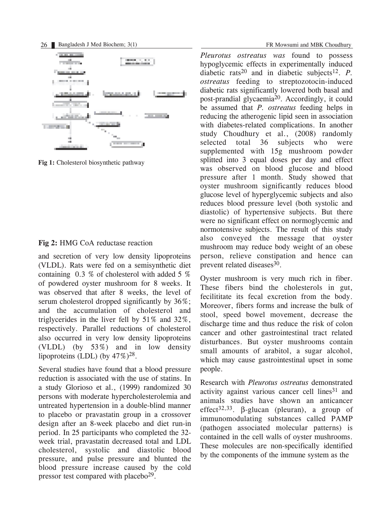

**Fig 1:** Cholesterol biosynthetic pathway

### **Fig 2:** HMG CoA reductase reaction

and secretion of very low density lipoproteins (VLDL). Rats were fed on a semisynthetic diet containing 0.3 % of cholesterol with added 5 % of powdered oyster mushroom for 8 weeks. It was observed that after 8 weeks, the level of serum cholesterol dropped significantly by 36%; and the accumulation of cholesterol and triglycerides in the liver fell by 51% and 32%, respectively. Parallel reductions of cholesterol also occurred in very low density lipoproteins (VLDL) (by 53%) and in low density lipoproteins (LDL) (by  $47\%$ )<sup>28</sup>.

Several studies have found that a blood pressure reduction is associated with the use of statins. In a study Glorioso et al., (1999) randomized 30 persons with moderate hypercholesterolemia and untreated hypertension in a double-blind manner to placebo or pravastatin group in a crossover design after an 8-week placebo and diet run-in period. In 25 participants who completed the 32 week trial, pravastatin decreased total and LDL cholesterol, systolic and diastolic blood pressure, and pulse pressure and blunted the blood pressure increase caused by the cold pressor test compared with placebo $2^9$ .

*Pleurotus ostreatus was* found to possess hypoglycemic effects in experimentally induced diabetic rats<sup>20</sup> and in diabetic subjects<sup>12</sup>. *P*. *ostreatus* feeding to streptozotocin-induced diabetic rats significantly lowered both basal and post-prandial glycaemia20. Accordingly, it could be assumed that *P. ostreatus* feeding helps in reducing the atherogenic lipid seen in association with diabetes-related complications. In another study Choudhury et al., (2008) randomly selected total 36 subjects who were supplemented with 15g mushroom powder splitted into 3 equal doses per day and effect was observed on blood glucose and blood pressure after 1 month. Study showed that oyster mushroom significantly reduces blood glucose level of hyperglycemic subjects and also reduces blood pressure level (both systolic and diastolic) of hypertensive subjects. But there were no significant effect on normoglycemic and normotensive subjects. The result of this study also conveyed the message that oyster mushroom may reduce body weight of an obese person, relieve constipation and hence can prevent related diseases<sup>30</sup>.

Oyster mushroom is very much rich in fiber. These fibers bind the cholesterols in gut, fecilititate its fecal excretion from the body. Moreover, fibers forms and increase the bulk of stool, speed bowel movement, decrease the discharge time and thus reduce the risk of colon cancer and other gastrointestinal tract related disturbances. But oyster mushrooms contain small amounts of arabitol, a sugar alcohol, which may cause gastrointestinal upset in some people.

Research with *Pleurotus ostreatus* demonstrated activity against various cancer cell lines $31$  and animals studies have shown an anticancer effect<sup>32,33</sup>. β-glucan (pleuran), a group of immunomodulating substances called PAMP (pathogen associated molecular patterns) is contained in the cell walls of oyster mushrooms. These molecules are non-specifically identified by the components of the immune system as the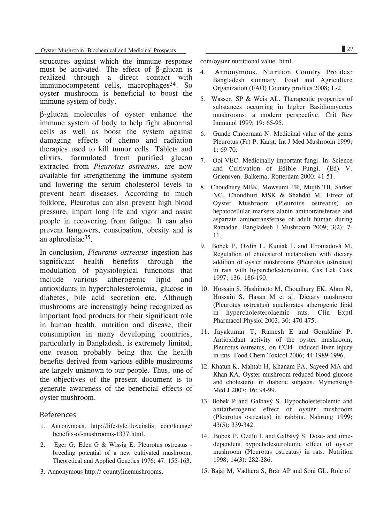Oyster Mushroom: Biochemical and Medicinal Prospects 27

structures against which the immune response must be activated. The effect of β-glucan is realized through a direct contact with immunocompetent cells, macrophages<sup>34</sup>. So oyster mushroom is beneficial to boost the immune system of body.

β-glucan molecules of oyster enhance the immune system of body to help fight abnormal cells as well as boost the system against damaging effects of chemo and radiation therapies used to kill tumor cells. Tablets and elixirs, formulated from purified glucan extracted from *Pleurotus ostreatus,* are now available for strengthening the immune system and lowering the serum cholesterol levels to prevent heart diseases. According to much folklore, Pleurotus can also prevent high blood pressure, impart long life and vigor and assist people in recovering from fatigue. It can also prevent hangovers, constipation, obesity and is an aphrodisiac<sup>35</sup>.

In conclusion, *Pleurotus ostreatus* ingestion has significant health benefits through the modulation of physiological functions that include various atherogenic lipid and antioxidants in hypercholesterolemia, glucose in diabetes, bile acid secretion etc. Although mushrooms are increasingly being recognized as important food products for their significant role in human health, nutrition and disease, their consumption in many developing countries, particularly in Bangladesh, is extremely limited, one reason probably being that the health benefits derived from various edible mushrooms are largely unknown to our people. Thus, one of the objectives of the present document is to generate awareness of the beneficial effects of oyster mushroom.

#### References

- 1. Annonymous. http://lifestyle.iloveindia. com/lounge/ benefits-of-mushrooms-1337.html.
- 2. Eger G, Eden G & Wissig E. Pleurotus ostreatus breeding potential of a new cultivated mushroom. Theoretical and Applied Genetics 1976; 47: 155-163.
- 3. Annonymous http:// countylinemushrooms.

com/oyster nutritional value. html.

- 4. Annonymous. Nutrition Country Profiles: Bangladesh summary. Food and Agriculture Organization (FAO) Country profiles 2008; L-2.
- 5. Wasser, SP & Weis AL. Therapeutic properties of substances occurring in higher Basidiomycetes mushrooms: a modern perspective. Crit Rev Immunol 1999; 19: 65-95.
- 6. Gunde-Cinoerman N. Medicinal value of the genus Pleurotus (Fr) P. Karst. Int J Med Mushroom 1999; 1: 69-70.
- 7. Ooi VEC. Medicinally important fungi. In: Science and Cultivation of Edible Fungi. (Ed) V. Griensven. Balkema, Rotterdam 2000: 41-51.
- 8. Choudhury MBK, Mowsumi FR, Mujib TB, Sarker NC, Choudhuri MSK & Shahdat M. Effect of Oyster Mushroom (Pleurotus ostreatus) on hepatocellular markers alanin aminotransferase and aspartate aminotransferase of adult human during Ramadan. Bangladesh J Mushroom 2009; 3(2): 7- 11.
- 9. Bobek P, Ozdín L, Kuniak L and Hromadová M. Regulation of cholesterol metabolism with dietary addition of oyster mushrooms (Pleurotus ostreatus) in rats with hypercholesterolemia. Cas Lek Cesk 1997; 136: 186-190.
- 10. Hossain S, Hashimoto M, Choudhury EK, Alam N, Hussain S, Hasan M et al. Dietary mushroom (Pleurotus ostreatus) ameliorates atherogenic lipid in hypercholesterolaemic rats. Clin Exptl Pharmacol Physiol 2003; 30: 470-475.
- 11. Jayakumar T, Ramesh E and Geraldine P. Antioxidant activity of the oyster mushroom, Pleurotus ostreatus, on CCl4 induced liver injury in rats. Food Chem Toxicol 2006; 44:1989-1996.
- 12. Khatun K, Mahtab H, Khanam PA, Sayeed MA and Khan KA. Oyster mushroom reduced blood glucose and cholesterol in diabetic subjects. Mymensingh Med J 2007; 16: 94-99.
- 13. Bobek P and Galbavý S. Hypocholesterolemic and antiatherogenic effect of oyster mushroom (Pleurotus ostreatus) in rabbits. Nahrung 1999; 43(5): 339-342.
- 14. Bobek P, Ozdín L and Galbavý S. Dose- and timedependent hypocholesterolemic effect of oyster mushroom (Pleurotus ostreatus) in rats. Nutrition 1998; 14(3): 282-286.
- 15. Bajaj M, Vadhera S, Brar AP and Soni GL. Role of